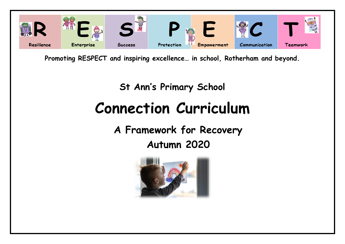

**Promoting RESPECT and inspiring excellence… in school, Rotherham and beyond.**

# **St Ann's Primary School Connection Curriculum**

**A Framework for Recovery Autumn 2020**

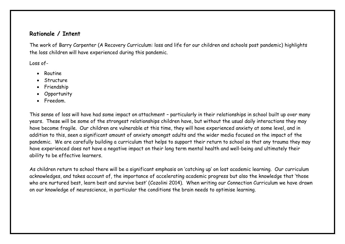## **Rationale / Intent**

The work of Barry Carpenter (A Recovery Curriculum: loss and life for our children and schools post pandemic) highlights the loss children will have experienced during this pandemic.

Loss of-

- Routine
- Structure
- Friendship
- Opportunity
- Freedom.

This sense of loss will have had some impact on attachment – particularly in their relationships in school built up over many years. These will be some of the strongest relationships children have, but without the usual daily interactions they may have become fragile. Our children are vulnerable at this time, they will have experienced anxiety at some level, and in addition to this, seen a significant amount of anxiety amongst adults and the wider media focused on the impact of the pandemic. We are carefully building a curriculum that helps to support their return to school so that any trauma they may have experienced does not have a negative impact on their long term mental health and well-being and ultimately their ability to be effective learners.

As children return to school there will be a significant emphasis on 'catching up' on lost academic learning. Our curriculum acknowledges, and takes account of, the importance of accelerating academic progress but also the knowledge that 'those who are nurtured best, learn best and survive best' (Cozolini 2014). When writing our Connection Curriculum we have drawn on our knowledge of neuroscience, in particular the conditions the brain needs to optimise learning.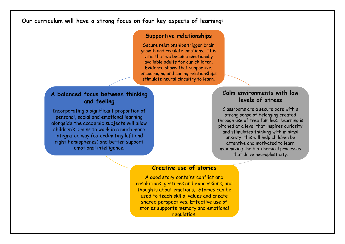## **Our curriculum will have a strong focus on four key aspects of learning:**

#### **Supportive relationships**

Secure relationships trigger brain growth and regulate emotions. It is vital that we become emotionally available adults for our children. Evidence shows that supportive, encouraging and caring relationships stimulate neural circuitry to learn.

## **A balanced focus between thinking and feeling**

Incorporating a significant proportion of personal, social and emotional learning alongside the academic subjects will allow children's brains to work in a much more integrated way (co-ordinating left and right hemispheres) and better support emotional intelligence.

## **Calm environments with low levels of stress**

Classrooms are a secure base with a strong sense of belonging created through use of tree families. Learning is pitched at a level that inspires curiosity and stimulates thinking with minimal anxiety, this will help children be attentive and motivated to learn maximizing the bio-chemical processes that drive neuroplasticity.

### **Creative use of stories**

A good story contains conflict and resolutions, gestures and expressions, and thoughts about emotions. Stories can be used to teach skills, values and create shared perspectives. Effective use of stories supports memory and emotional regulation.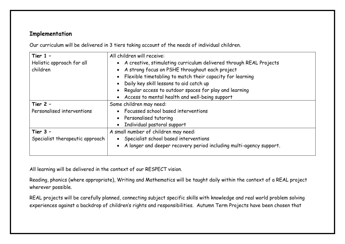# **Implementation**

Our curriculum will be delivered in 3 tiers taking account of the needs of individual children.

| Tier $1 -$                      | All children will receive:                                          |
|---------------------------------|---------------------------------------------------------------------|
| Holistic approach for all       | A creative, stimulating curriculum delivered through REAL Projects  |
| children                        | A strong focus on PSHE throughout each project                      |
|                                 | Flexible timetabling to match their capacity for learning           |
|                                 | • Daily key skill lessons to aid catch up                           |
|                                 | Regular access to outdoor spaces for play and learning              |
|                                 | Access to mental health and well-being support                      |
| Tier $2 -$                      | Some children may need:                                             |
| Personalised interventions      | • Focussed school based interventions                               |
|                                 | • Personalised tutoring                                             |
|                                 | Individual pastoral support                                         |
| Tier $3 -$                      | A small number of children may need:                                |
| Specialist therapeutic approach | • Specialist school based interventions                             |
|                                 | A longer and deeper recovery period including multi-agency support. |

All learning will be delivered in the context of our RESPECT vision.

Reading, phonics (where appropriate), Writing and Mathematics will be taught daily within the context of a REAL project wherever possible.

REAL projects will be carefully planned, connecting subject specific skills with knowledge and real world problem solving experiences against a backdrop of children's rights and responsibilities. Autumn Term Projects have been chosen that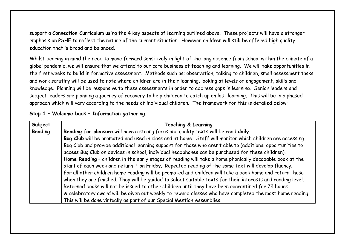support a **Connection Curriculum** using the 4 key aspects of learning outlined above. These projects will have a stronger emphasis on PSHE to reflect the nature of the current situation. However children will still be offered high quality education that is broad and balanced.

Whilst bearing in mind the need to move forward sensitively in light of the long absence from school within the climate of a global pandemic, we will ensure that we attend to our core business of teaching and learning. We will take opportunities in the first weeks to build in formative assessment. Methods such as; observation, talking to children, small assessment tasks and work scrutiny will be used to note where children are in their learning, looking at levels of engagement, skills and knowledge. Planning will be responsive to these assessments in order to address gaps in learning. Senior leaders and subject leaders are planning a journey of recovery to help children to catch up on lost learning. This will be in a phased approach which will vary according to the needs of individual children. The framework for this is detailed below:

| Subject | <b>Teaching &amp; Learning</b>                                                                              |
|---------|-------------------------------------------------------------------------------------------------------------|
| Reading | Reading for pleasure will have a strong focus and quality texts will be read daily.                         |
|         | Bug Club will be promoted and used in class and at home. Staff will monitor which children are accessing    |
|         | Bug Club and provide additional learning support for those who aren't able to (additional opportunities to  |
|         | access Bug Club on devices in school, individual headphones can be purchased for these children).           |
|         | Home Reading - children in the early stages of reading will take a home phonically decodable book at the    |
|         | start of each week and return it on Friday. Repeated reading of the same text will develop fluency.         |
|         | For all other children home reading will be promoted and children will take a book home and return these    |
|         | when they are finished. They will be guided to select suitable texts for their interests and reading level. |
|         | Returned books will not be issued to other children until they have been quarantined for 72 hours.          |
|         | A celebratory award will be given out weekly to reward classes who have completed the most home reading.    |
|         | This will be done virtually as part of our Special Mention Assemblies.                                      |

#### **Step 1 – Welcome back – Information gathering.**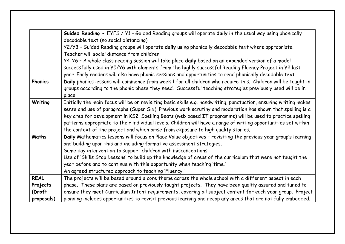|                    | Guided Reading - EYFS / Y1 - Guided Reading groups will operate daily in the usual way using phonically<br>decodable text (no social distancing).                                                                                                                                                                                                                                                                                                                                                                                                      |
|--------------------|--------------------------------------------------------------------------------------------------------------------------------------------------------------------------------------------------------------------------------------------------------------------------------------------------------------------------------------------------------------------------------------------------------------------------------------------------------------------------------------------------------------------------------------------------------|
|                    | Y2/Y3 - Guided Reading groups will operate daily using phonically decodable text where appropriate.<br>Teacher will social distance from children.                                                                                                                                                                                                                                                                                                                                                                                                     |
|                    | Y4-Y6 - A whole class reading session will take place daily based on an expanded version of a model<br>successfully used in Y5/Y6 with elements from the highly successful Reading Fluency Project in Y2 last<br>year. Early readers will also have phonic sessions and opportunities to read phonically decodable text.                                                                                                                                                                                                                               |
| <b>Phonics</b>     | Daily phonics lessons will commence from week 1 for all children who require this. Children will be taught in<br>groups according to the phonic phase they need. Successful teaching strategies previously used will be in<br>place.                                                                                                                                                                                                                                                                                                                   |
| Writing            | Initially the main focus will be on revisiting basic skills e.g. handwriting, punctuation, ensuring writing makes<br>sense and use of paragraphs (Super Six). Previous work scrutiny and moderation has shown that spelling is a<br>key area for development in KS2. Spelling Beats (web based IT programme) will be used to practice spelling<br>patterns appropriate to their individual levels. Children will have a range of writing opportunities set within<br>the context of the project and which arise from exposure to high quality stories. |
| Maths              | Daily Mathematics lessons will focus on Place Value objectives - revisiting the previous year group's learning<br>and building upon this and including formative assessment strategies.<br>Same day intervention to support children with misconceptions.<br>Use of 'Skills Stop Lessons' to build up the knowledge of areas of the curriculum that were not taught the<br>year before and to continue with this opportunity when teaching 'time.'<br>An agreed structured approach to teaching 'Fluency.'                                             |
| <b>REAL</b>        | The projects will be based around a core theme across the whole school with a different aspect in each                                                                                                                                                                                                                                                                                                                                                                                                                                                 |
| Projects<br>(Draft | phase. These plans are based on previously taught projects. They have been quality assured and tuned to<br>ensure they meet Curriculum Intent requirements, covering all subject content for each year group. Project                                                                                                                                                                                                                                                                                                                                  |
| proposals)         | planning includes opportunities to revisit previous learning and recap any areas that are not fully embedded.                                                                                                                                                                                                                                                                                                                                                                                                                                          |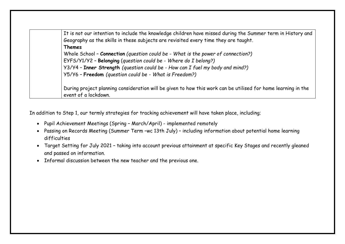It is not our intention to include the knowledge children have missed during the Summer term in History and Geography as the skills in these subjects are revisited every time they are taught. **Themes** Whole School – **Connection** *(question could be - What is the power of connection?)* EYFS/Y1/Y2 – **Belonging** (*question could be - Where do I belong?)* Y3/Y4 – **Inner Strength** *(question could be - How can I fuel my body and mind?)* Y5/Y6 – **Freedom** *(question could be - What is Freedom?)* During project planning consideration will be given to how this work can be utilised for home learning in the

In addition to Step 1, our termly strategies for tracking achievement will have taken place, including;

- Pupil Achievement Meetings (Spring March/April) implemented remotely
- Passing on Records Meeting (Summer Term –wc 13th July) including information about potential home learning difficulties
- Target Setting for July 2021 taking into account previous attainment at specific Key Stages and recently gleaned and passed on information.
- Informal discussion between the new teacher and the previous one.

event of a lockdown.